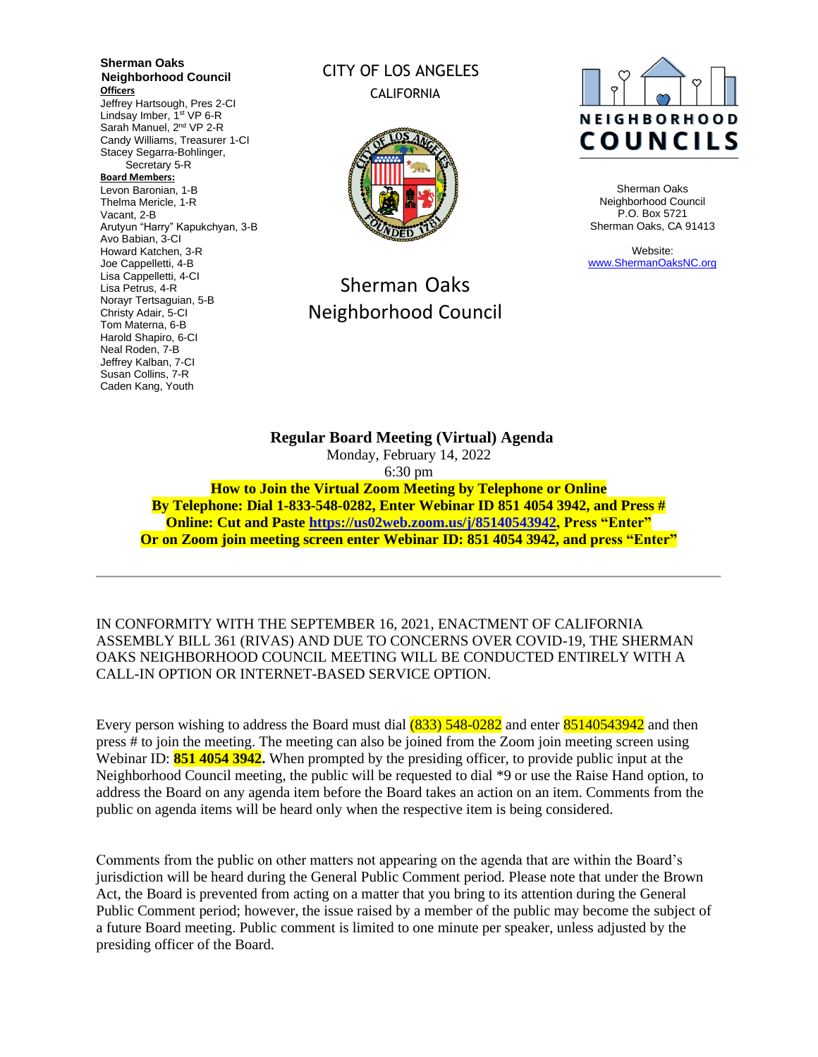**Sherman Oaks Neighborhood Council Officers** Jeffrey Hartsough, Pres 2-CI Lindsay Imber, 1<sup>st</sup> VP 6-R Sarah Manuel, 2<sup>nd</sup> VP 2-R Candy Williams, Treasurer 1-CI Stacey Segarra-Bohlinger, Secretary 5-R **Board Members:** Levon Baronian, 1-B Thelma Mericle, 1-R Vacant, 2-B Arutyun "Harry" Kapukchyan, 3-B Avo Babian, 3-CI Howard Katchen, 3-R Joe Cappelletti, 4-B Lisa Cappelletti, 4-CI Lisa Petrus, 4-R Norayr Tertsaguian, 5-B Christy Adair, 5-CI Tom Materna, 6-B Harold Shapiro, 6-CI Neal Roden, 7-B Jeffrey Kalban, 7-CI Susan Collins, 7-R Caden Kang, Youth

## CITY OF LOS ANGELES CALIFORNIA



# Sherman Oaks Neighborhood Council



Sherman Oaks Neighborhood Council P.O. Box 5721 Sherman Oaks, CA 91413

Website: [www.ShermanOaksNC.org](http://www.shermanoaksnc.org/)

**Regular Board Meeting (Virtual) Agenda**  Monday, February 14, 2022 6:30 pm **How to Join the Virtual Zoom Meeting by Telephone or Online By Telephone: Dial 1-833-548-0282, Enter Webinar ID 851 4054 3942, and Press # Online: Cut and Paste [https://us02web.zoom.us/j/85140543942,](https://us02web.zoom.us/j/85140543942) Press "Enter" Or on Zoom join meeting screen enter Webinar ID: 851 4054 3942, and press "Enter"**

IN CONFORMITY WITH THE SEPTEMBER 16, 2021, ENACTMENT OF CALIFORNIA ASSEMBLY BILL 361 (RIVAS) AND DUE TO CONCERNS OVER COVID-19, THE SHERMAN OAKS NEIGHBORHOOD COUNCIL MEETING WILL BE CONDUCTED ENTIRELY WITH A CALL-IN OPTION OR INTERNET-BASED SERVICE OPTION.

Every person wishing to address the Board must dial  $(833)$  548-0282 and enter 85140543942 and then press # to join the meeting. The meeting can also be joined from the Zoom join meeting screen using Webinar ID: **851 4054 3942.** When prompted by the presiding officer, to provide public input at the Neighborhood Council meeting, the public will be requested to dial \*9 or use the Raise Hand option, to address the Board on any agenda item before the Board takes an action on an item. Comments from the public on agenda items will be heard only when the respective item is being considered.

Comments from the public on other matters not appearing on the agenda that are within the Board's jurisdiction will be heard during the General Public Comment period. Please note that under the Brown Act, the Board is prevented from acting on a matter that you bring to its attention during the General Public Comment period; however, the issue raised by a member of the public may become the subject of a future Board meeting. Public comment is limited to one minute per speaker, unless adjusted by the presiding officer of the Board.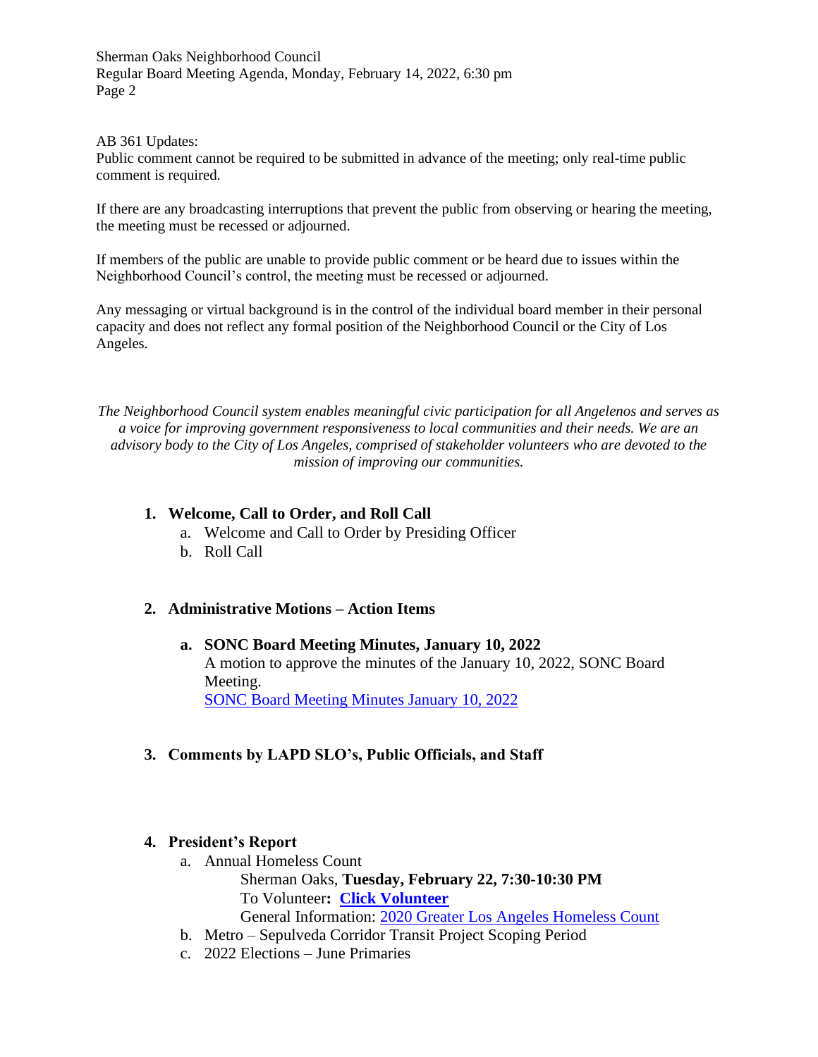#### AB 361 Updates:

Public comment cannot be required to be submitted in advance of the meeting; only real-time public comment is required.

If there are any broadcasting interruptions that prevent the public from observing or hearing the meeting, the meeting must be recessed or adjourned.

If members of the public are unable to provide public comment or be heard due to issues within the Neighborhood Council's control, the meeting must be recessed or adjourned.

Any messaging or virtual background is in the control of the individual board member in their personal capacity and does not reflect any formal position of the Neighborhood Council or the City of Los Angeles.

*The Neighborhood Council system enables meaningful civic participation for all Angelenos and serves as a voice for improving government responsiveness to local communities and their needs. We are an advisory body to the City of Los Angeles, comprised of stakeholder volunteers who are devoted to the mission of improving our communities.*

### **1. Welcome, Call to Order, and Roll Call**

- a. Welcome and Call to Order by Presiding Officer
- b. Roll Call

## **2. Administrative Motions – Action Items**

**a. SONC Board Meeting Minutes, January 10, 2022** A motion to approve the minutes of the January 10, 2022, SONC Board Meeting. [SONC Board Meeting Minutes January 10, 2022](https://www.shermanoaksnc.org/ncfiles/viewCommitteeFile/28491)

## **3. Comments by LAPD SLO's, Public Officials, and Staff**

#### **4. President's Report**

- a. Annual Homeless Count Sherman Oaks, **Tuesday, February 22, 7:30-10:30 PM** To Volunteer**: [Click Volunteer](https://www.theycountwillyou.org/sherman_oaks_count_20220125)** General Information: [2020 Greater Los Angeles Homeless Count](http://www.theycountwillyou.org/?e=f5d81eed5f3020d7a306d5b19694bb16&utm_source=lahsa&utm_medium=email&utm_campaign=vol_info_sess_faq_12_06_21&n=10)
- b. Metro Sepulveda Corridor Transit Project Scoping Period
- c. 2022 Elections June Primaries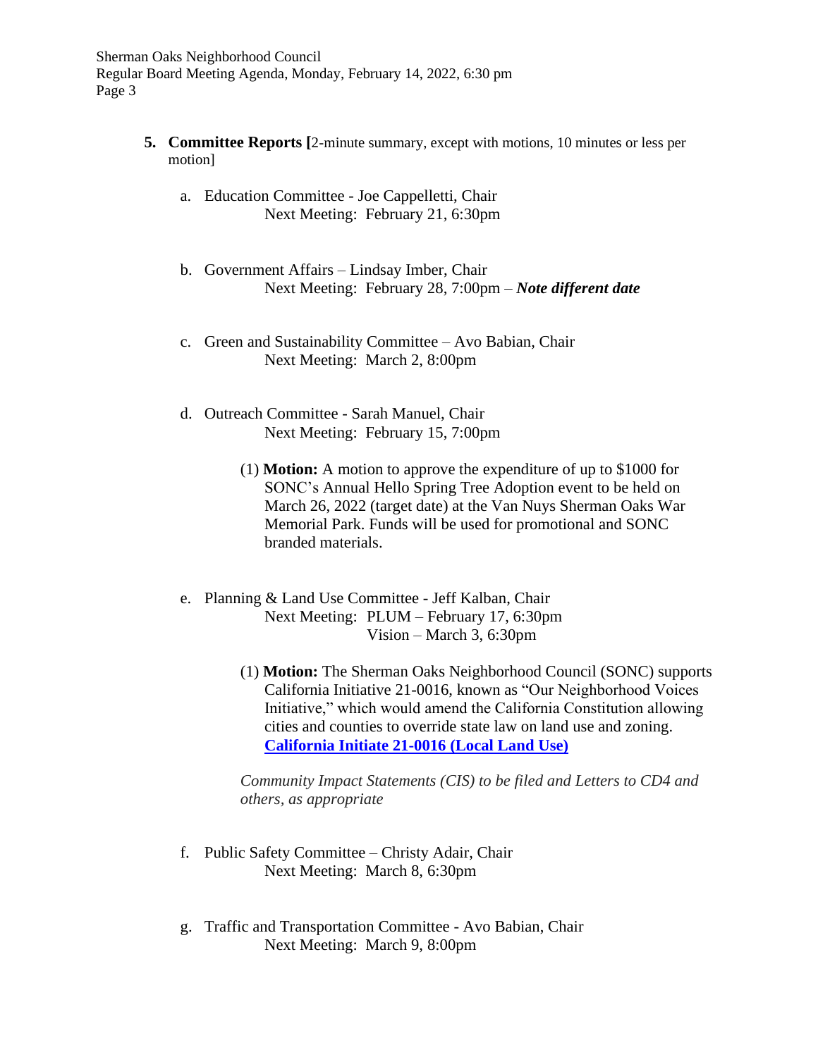- **5. Committee Reports [**2-minute summary, except with motions, 10 minutes or less per motion]
	- a. Education Committee Joe Cappelletti, Chair Next Meeting: February 21, 6:30pm
	- b. Government Affairs Lindsay Imber, Chair Next Meeting: February 28, 7:00pm – *Note different date*
	- c. Green and Sustainability Committee Avo Babian, Chair Next Meeting: March 2, 8:00pm
	- d. Outreach Committee Sarah Manuel, Chair Next Meeting: February 15, 7:00pm
		- (1) **Motion:** A motion to approve the expenditure of up to \$1000 for SONC's Annual Hello Spring Tree Adoption event to be held on March 26, 2022 (target date) at the Van Nuys Sherman Oaks War Memorial Park. Funds will be used for promotional and SONC branded materials.
	- e. Planning & Land Use Committee Jeff Kalban, Chair Next Meeting: PLUM – February 17, 6:30pm Vision – March 3, 6:30pm
		- (1) **Motion:** The Sherman Oaks Neighborhood Council (SONC) supports California Initiative 21-0016, known as "Our Neighborhood Voices Initiative," which would amend the California Constitution allowing cities and counties to override state law on land use and zoning. **[California Initiate 21-0016 \(Local Land Use\)](https://www.shermanoaksnc.org/ncfiles/viewCommitteeFile/28495)**

*Community Impact Statements (CIS) to be filed and Letters to CD4 and others, as appropriate*

- f. Public Safety Committee Christy Adair, Chair Next Meeting: March 8, 6:30pm
- g. Traffic and Transportation Committee Avo Babian, Chair Next Meeting: March 9, 8:00pm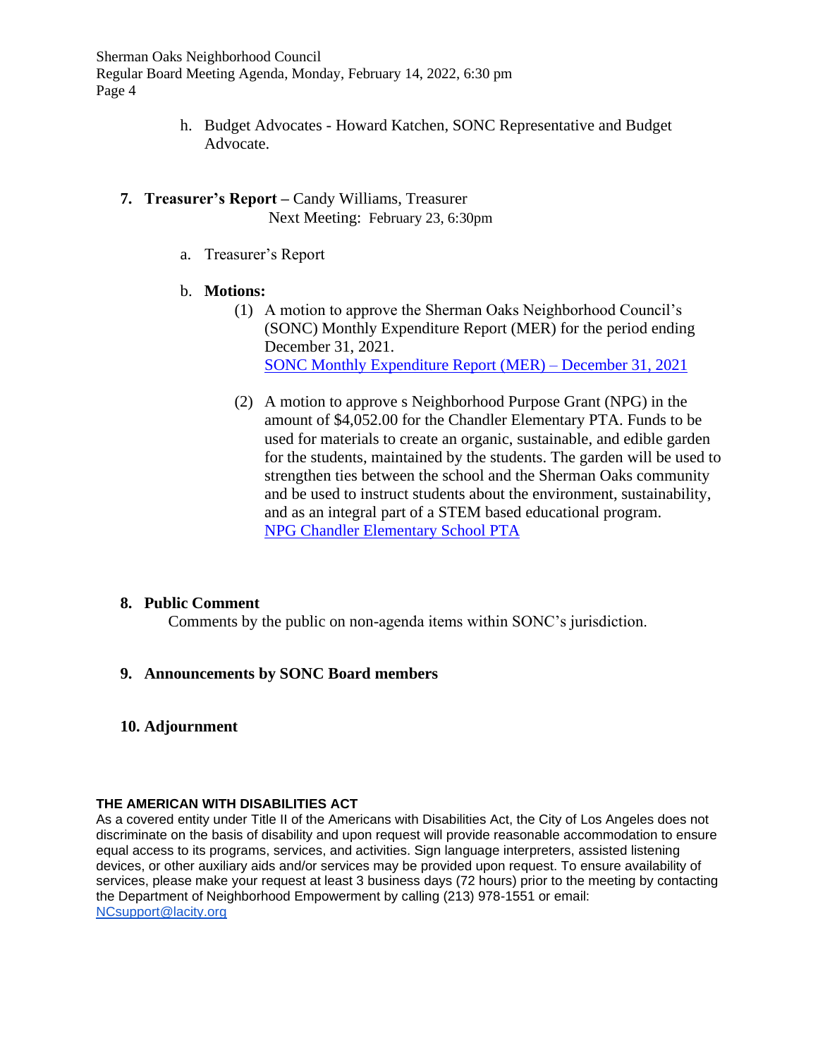- h. Budget Advocates Howard Katchen, SONC Representative and Budget Advocate.
- **7. Treasurer's Report –** Candy Williams, Treasurer **Next Meeting: February 23, 6:30pm** 
	- a. Treasurer's Report
	- b. **Motions:**
		- (1) A motion to approve the Sherman Oaks Neighborhood Council's (SONC) Monthly Expenditure Report (MER) for the period ending December 31, 2021. [SONC Monthly Expenditure Report](https://www.shermanoaksnc.org/ncfiles/viewCommitteeFile/28492) (MER) – December 31, 2021
		- (2) A motion to approve s Neighborhood Purpose Grant (NPG) in the amount of \$4,052.00 for the Chandler Elementary PTA. Funds to be used for materials to create an organic, sustainable, and edible garden for the students, maintained by the students. The garden will be used to strengthen ties between the school and the Sherman Oaks community and be used to instruct students about the environment, sustainability, and as an integral part of a STEM based educational program. [NPG Chandler Elementary School PTA](https://www.shermanoaksnc.org/ncfiles/viewCommitteeFile/28493)

## **8. Public Comment**

Comments by the public on non-agenda items within SONC's jurisdiction.

## **9. Announcements by SONC Board members**

**10. Adjournment**

#### **THE AMERICAN WITH DISABILITIES ACT**

As a covered entity under Title II of the Americans with Disabilities Act, the City of Los Angeles does not discriminate on the basis of disability and upon request will provide reasonable accommodation to ensure equal access to its programs, services, and activities. Sign language interpreters, assisted listening devices, or other auxiliary aids and/or services may be provided upon request. To ensure availability of services, please make your request at least 3 business days (72 hours) prior to the meeting by contacting the Department of Neighborhood Empowerment by calling (213) 978-1551 or email: [NCsupport@lacity.org](mailto:NCsupport@lacity.org)